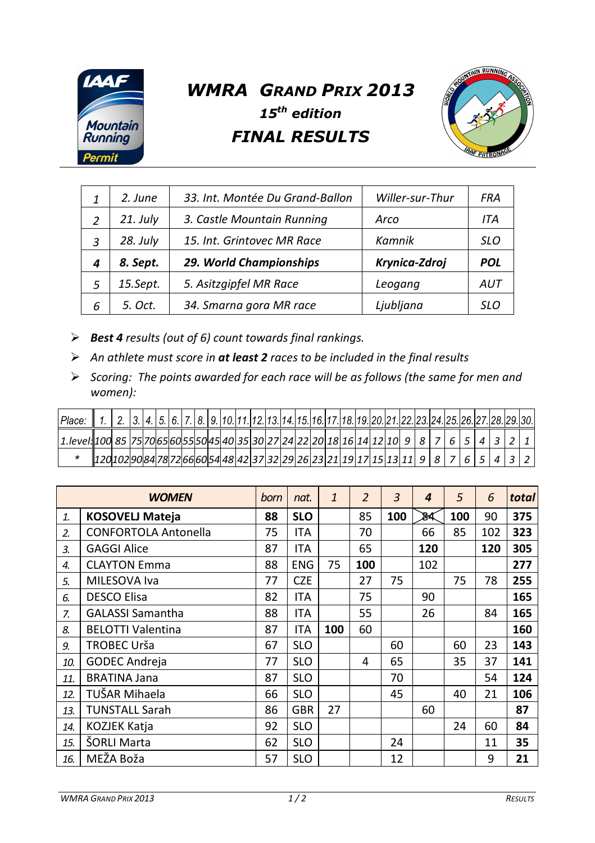

## *WMRA GRAND PRIX 2013 15th edition FINAL RESULTS*



| 1 | 2. June    | 33. Int. Montée Du Grand-Ballon | Willer-sur-Thur | FRA        |
|---|------------|---------------------------------|-----------------|------------|
| 2 | $21.$ July | 3. Castle Mountain Running      | Arco            | ITA        |
| 3 | 28. July   | 15. Int. Grintovec MR Race      | Kamnik          | SLO        |
| 4 | 8. Sept.   | 29. World Championships         | Krynica-Zdroj   | <b>POL</b> |
| 5 | 15.Sept.   | 5. Asitzgipfel MR Race          | Leogang         | AUT        |
| 6 | 5. Oct.    | 34. Smarna gora MR race         | Ljubljana       | SLO        |

- *Best 4 results (out of 6) count towards final rankings.*
- *An athlete must score in at least 2 races to be included in the final results*
- *Scoring: The points awarded for each race will be as follows (the same for men and women):*

| Place:                                                                                      |                                                          | 2.  3. 4. 5. 6. 7. 8. 9. 10. 11. 12. 13. 14. 15. 16. 17. 18. 19. 20. 21. 22. 23. 24. 25. 26. 27. 28. 29. 30. |  |  |  |  |  |  |  |  |  |  |  |  |  |  |
|---------------------------------------------------------------------------------------------|----------------------------------------------------------|--------------------------------------------------------------------------------------------------------------|--|--|--|--|--|--|--|--|--|--|--|--|--|--|
| $\vert$ 1.1evel 100 85 75 70 65 60 55 50 45 40 35 30 27 24 22 20 18 16 14 12 10 9 8 7 6 5 4 |                                                          |                                                                                                              |  |  |  |  |  |  |  |  |  |  |  |  |  |  |
|                                                                                             | 20102908478726660544842373229292623211917151131119887654 |                                                                                                              |  |  |  |  |  |  |  |  |  |  |  |  |  |  |

|              | <b>WOMEN</b>                | born | nat.       | $\mathbf{1}$ | $\overline{2}$ | 3   | 4   | 5   | 6   | total |
|--------------|-----------------------------|------|------------|--------------|----------------|-----|-----|-----|-----|-------|
| $\mathbf{1}$ | <b>KOSOVELJ Mateja</b>      | 88   | <b>SLO</b> |              | 85             | 100 | 84  | 100 | 90  | 375   |
| 2.           | <b>CONFORTOLA Antonella</b> | 75   | ITA        |              | 70             |     | 66  | 85  | 102 | 323   |
| 3.           | <b>GAGGI Alice</b>          | 87   | ITA        |              | 65             |     | 120 |     | 120 | 305   |
| 4.           | <b>CLAYTON Emma</b>         | 88   | <b>ENG</b> | 75           | 100            |     | 102 |     |     | 277   |
| 5.           | MILESOVA Iva                | 77   | <b>CZE</b> |              | 27             | 75  |     | 75  | 78  | 255   |
| 6.           | <b>DESCO Elisa</b>          | 82   | ITA        |              | 75             |     | 90  |     |     | 165   |
| $Z_{\cdot}$  | <b>GALASSI Samantha</b>     | 88   | ITA        |              | 55             |     | 26  |     | 84  | 165   |
| 8.           | <b>BELOTTI Valentina</b>    | 87   | <b>ITA</b> | 100          | 60             |     |     |     |     | 160   |
| 9.           | TROBEC Urša                 | 67   | <b>SLO</b> |              |                | 60  |     | 60  | 23  | 143   |
| 10.          | <b>GODEC Andreja</b>        | 77   | <b>SLO</b> |              | 4              | 65  |     | 35  | 37  | 141   |
| 11.          | <b>BRATINA Jana</b>         | 87   | <b>SLO</b> |              |                | 70  |     |     | 54  | 124   |
| 12.          | TUŠAR Mihaela               | 66   | <b>SLO</b> |              |                | 45  |     | 40  | 21  | 106   |
| 13.          | <b>TUNSTALL Sarah</b>       | 86   | <b>GBR</b> | 27           |                |     | 60  |     |     | 87    |
| 14.          | KOZJEK Katja                | 92   | <b>SLO</b> |              |                |     |     | 24  | 60  | 84    |
| 15.          | ŠORLI Marta                 | 62   | <b>SLO</b> |              |                | 24  |     |     | 11  | 35    |
| 16.          | MEŽA Boža                   | 57   | <b>SLO</b> |              |                | 12  |     |     | 9   | 21    |